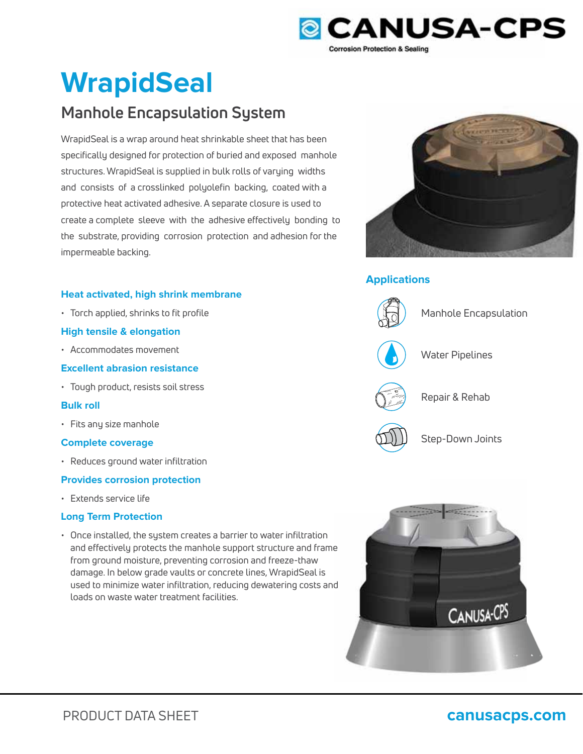

# **WrapidSeal**

# **Manhole Encapsulation System**

WrapidSeal is a wrap around heat shrinkable sheet that has been specifically designed for protection of buried and exposed manhole structures. WrapidSeal is supplied in bulk rolls of varying widths and consists of a crosslinked polyolefin backing, coated with a protective heat activated adhesive. A separate closure is used to create a complete sleeve with the adhesive effectively bonding to the substrate, providing corrosion protection and adhesion for the impermeable backing.

# **Heat activated, high shrink membrane**

• Torch applied, shrinks to fit profile

# **High tensile & elongation**

• Accommodates movement

# **Excellent abrasion resistance**

• Tough product, resists soil stress

# **Bulk roll**

• Fits any size manhole

# **Complete coverage**

• Reduces ground water infiltration

# **Provides corrosion protection**

• Extends service life

# **Long Term Protection**

• Once installed, the system creates a barrier to water infiltration and effectively protects the manhole support structure and frame e from ground moisture, preventing corrosion and freeze-thaw damage. In below grade vaults or concrete lines, WrapidSeal is used to minimize water infiltration, reducing dewatering costs and dloads on waste water treatment facilities.



# **Applications**



Manhole Encapsulation



Water Pipelines



Repair & Rehab



Step-Down Joints